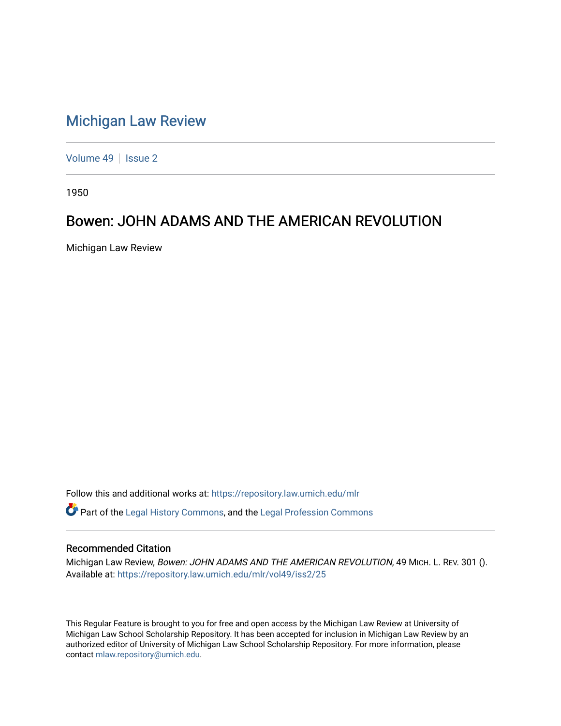## [Michigan Law Review](https://repository.law.umich.edu/mlr)

[Volume 49](https://repository.law.umich.edu/mlr/vol49) | [Issue 2](https://repository.law.umich.edu/mlr/vol49/iss2)

1950

## Bowen: JOHN ADAMS AND THE AMERICAN REVOLUTION

Michigan Law Review

Follow this and additional works at: [https://repository.law.umich.edu/mlr](https://repository.law.umich.edu/mlr?utm_source=repository.law.umich.edu%2Fmlr%2Fvol49%2Fiss2%2F25&utm_medium=PDF&utm_campaign=PDFCoverPages)  Part of the [Legal History Commons](http://network.bepress.com/hgg/discipline/904?utm_source=repository.law.umich.edu%2Fmlr%2Fvol49%2Fiss2%2F25&utm_medium=PDF&utm_campaign=PDFCoverPages), and the [Legal Profession Commons](http://network.bepress.com/hgg/discipline/1075?utm_source=repository.law.umich.edu%2Fmlr%2Fvol49%2Fiss2%2F25&utm_medium=PDF&utm_campaign=PDFCoverPages)

## Recommended Citation

Michigan Law Review, Bowen: JOHN ADAMS AND THE AMERICAN REVOLUTION, 49 MICH. L. REV. 301 (). Available at: [https://repository.law.umich.edu/mlr/vol49/iss2/25](https://repository.law.umich.edu/mlr/vol49/iss2/25?utm_source=repository.law.umich.edu%2Fmlr%2Fvol49%2Fiss2%2F25&utm_medium=PDF&utm_campaign=PDFCoverPages) 

This Regular Feature is brought to you for free and open access by the Michigan Law Review at University of Michigan Law School Scholarship Repository. It has been accepted for inclusion in Michigan Law Review by an authorized editor of University of Michigan Law School Scholarship Repository. For more information, please contact [mlaw.repository@umich.edu](mailto:mlaw.repository@umich.edu).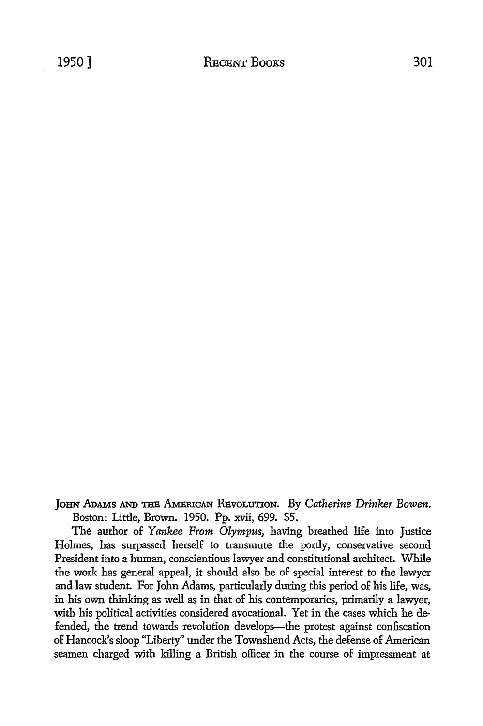JOHN ADAMS AND THE AMERICAN REVOLUTION. By *Catherine Drinker Bowen*. Boston: Little, Brown. 1950. Pp. xvii, 699. \$5.

The author of *Yankee From Olympus,* having breathed life into Justice Holmes, has surpassed herself to transmute the portly, conservative second President into a human, conscientious lawyer and constitutional architect. While the work has general appeal, it should also be of special interest to the lawyer and law student. For John Adams, particularly during this period of his life, was, in his own thinking as well as in that of his contemporaries, primarily a lawyer, with his political activities considered avocational. Yet in the cases which he defended, the trend towards revolution develops-the protest against confiscation of Hancock's sloop "Liberty" under the Townshend Acts, the defense of American seamen charged with killing a British officer in the course of impressment at